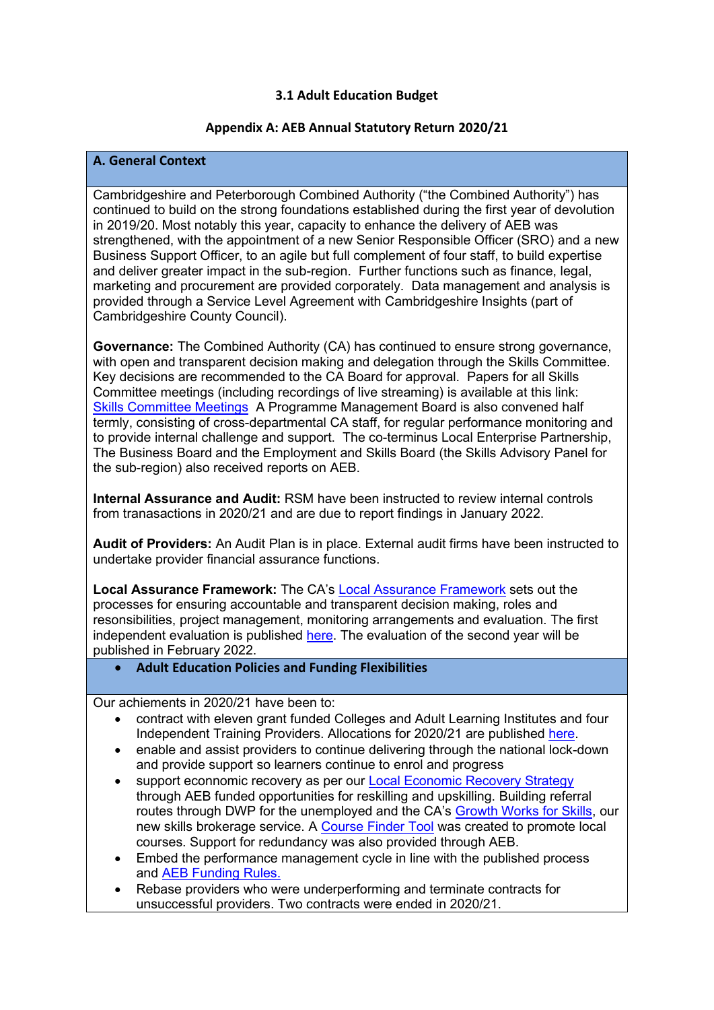# **3.1 Adult Education Budget**

## **Appendix A: AEB Annual Statutory Return 2020/21**

## **A. General Context**

Cambridgeshire and Peterborough Combined Authority ("the Combined Authority") has continued to build on the strong foundations established during the first year of devolution in 2019/20. Most notably this year, capacity to enhance the delivery of AEB was strengthened, with the appointment of a new Senior Responsible Officer (SRO) and a new Business Support Officer, to an agile but full complement of four staff, to build expertise and deliver greater impact in the sub-region. Further functions such as finance, legal, marketing and procurement are provided corporately. Data management and analysis is provided through a Service Level Agreement with Cambridgeshire Insights (part of Cambridgeshire County Council).

**Governance:** The Combined Authority (CA) has continued to ensure strong governance, with open and transparent decision making and delegation through the Skills Committee. Key decisions are recommended to the CA Board for approval. Papers for all Skills Committee meetings (including recordings of live streaming) is available at this link: [Skills Committee Meetings](https://cambridgeshirepeterboroughcagov.cmis.uk.com/Committees/tabid/62/ctl/ViewCMIS_CommitteeDetails/mid/381/id/66/Default.aspx) A Programme Management Board is also convened half termly, consisting of cross-departmental CA staff, for regular performance monitoring and to provide internal challenge and support. The co-terminus Local Enterprise Partnership, The Business Board and the Employment and Skills Board (the Skills Advisory Panel for the sub-region) also received reports on AEB.

**Internal Assurance and Audit:** RSM have been instructed to review internal controls from tranasactions in 2020/21 and are due to report findings in January 2022.

**Audit of Providers:** An Audit Plan is in place. External audit firms have been instructed to undertake provider financial assurance functions.

**Local Assurance Framework:** The CA's [Local Assurance Framework](https://cambridgeshirepeterboroughcagov.cmis.uk.com/Document.ashx?czJKcaeAi5tUFL1DTL2UE4zNRBcoShgo=5qzR%2fO6pZREMIMRa1orluwbzPdn%2fVStjhkftHOxdCf7hINBv%2bv8G4Q%3d%3d&rUzwRPf%2bZ3zd4E7Ikn8Lyw%3d%3d=pwRE6AGJFLDNlh225F5QMaQWCtPHwdhUfCZ%2fLUQzgA2uL5jNRG4jdQ%3d%3d&mCTIbCubSFfXsDGW9IXnlg%3d%3d=hFflUdN3100%3d&kCx1AnS9%2fpWZQ40DXFvdEw%3d%3d=hFflUdN3100%3d&uJovDxwdjMPoYv%2bAJvYtyA%3d%3d=ctNJFf55vVA%3d&FgPlIEJYlotS%2bYGoBi5olA%3d%3d=NHdURQburHA%3d&d9Qjj0ag1Pd993jsyOJqFvmyB7X0CSQK=ctNJFf55vVA%3d&WGewmoAfeNR9xqBux0r1Q8Za60lavYmz=ctNJFf55vVA%3d&WGewmoAfeNQ16B2MHuCpMRKZMwaG1PaO=ctNJFf55vVA%3d) sets out the processes for ensuring accountable and transparent decision making, roles and resonsibilities, project management, monitoring arrangements and evaluation. The first independent evaluation is published [here.](https://cambridgeshirepeterborough-ca.gov.uk/wp-content/uploads/documents/skills/adult-education-budget/CPCA-AEB-Devolution-Evaluation-Report-2020.pdf) The evaluation of the second year will be published in February 2022.

• **Adult Education Policies and Funding Flexibilities** 

Our achiements in 2020/21 have been to:

- contract with eleven grant funded Colleges and Adult Learning Institutes and four Independent Training Providers. Allocations for 2020/21 are published [here.](https://cambridgeshirepeterborough-ca.gov.uk/wp-content/uploads/documents/skills/adult-education-budget/AEB-Allocations-2020-21.pdf)
- enable and assist providers to continue delivering through the national lock-down and provide support so learners continue to enrol and progress
- support econnomic recovery as per our [Local Economic Recovery Strategy](https://cambridgeshirepeterborough-ca.gov.uk/wp-content/uploads/documents/Strategies/LERS/Local-Economic-Recovery-Strategy-March-2021-FINAL.pdf) through AEB funded opportunities for reskilling and upskilling. Building referral routes through DWP for the unemployed and the CA's [Growth Works for Skills,](https://www.growthworkswithskills.com/about/) our new skills brokerage service. A [Course Finder Tool](https://www.growthworkswithskills.com/search/courses/?subject=Adult%20education&location=PE28%203DQ&training=&suitable=&studyModes=&attModes=&startDateAfter=&sort=3&within=0) was created to promote local courses. Support for redundancy was also provided through AEB.
- Embed the performance management cycle in line with the published process and [AEB Funding Rules.](https://cambridgeshirepeterborough-ca.gov.uk/wp-content/uploads/documents/skills/adult-education-budget/CPCA-Funding-Performance-Rules-2021-22.pdf)
- Rebase providers who were underperforming and terminate contracts for unsuccessful providers. Two contracts were ended in 2020/21.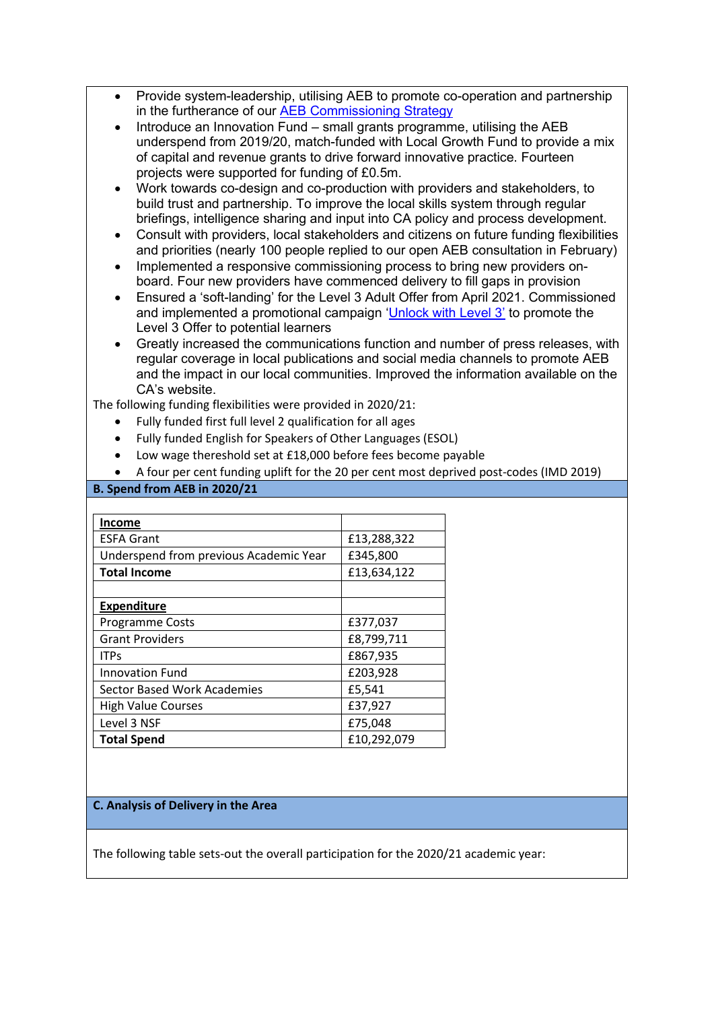- Provide system-leadership, utilising AEB to promote co-operation and partnership in the furtherance of our [AEB Commissioning Strategy](https://cambridgeshirepeterborough-ca.gov.uk/wp-content/uploads/documents/skills/adult-education-budget/AEB-Commissioning-Strategy-2020-25-v2.pdf)
- Introduce an Innovation Fund small grants programme, utilising the AEB underspend from 2019/20, match-funded with Local Growth Fund to provide a mix of capital and revenue grants to drive forward innovative practice. Fourteen projects were supported for funding of £0.5m.
- Work towards co-design and co-production with providers and stakeholders, to build trust and partnership. To improve the local skills system through regular briefings, intelligence sharing and input into CA policy and process development.
- Consult with providers, local stakeholders and citizens on future funding flexibilities and priorities (nearly 100 people replied to our open AEB consultation in February)
- Implemented a responsive commissioning process to bring new providers onboard. Four new providers have commenced delivery to fill gaps in provision
- Ensured a 'soft-landing' for the Level 3 Adult Offer from April 2021. Commissioned and implemented a promotional campaign ['Unlock with Level 3'](https://unlockwithlevel3.co.uk/) to promote the Level 3 Offer to potential learners
- Greatly increased the communications function and number of press releases, with regular coverage in local publications and social media channels to promote AEB and the impact in our local communities. Improved the information available on the CA's website.

The following funding flexibilities were provided in 2020/21:

- Fully funded first full level 2 qualification for all ages
- Fully funded English for Speakers of Other Languages (ESOL)
- Low wage thereshold set at £18,000 before fees become payable
- A four per cent funding uplift for the 20 per cent most deprived post-codes (IMD 2019)

### **B. Spend from AEB in 2020/21**

| <b>Income</b>                          |             |
|----------------------------------------|-------------|
| <b>ESFA Grant</b>                      | £13,288,322 |
| Underspend from previous Academic Year | £345,800    |
| <b>Total Income</b>                    | £13,634,122 |
|                                        |             |
| <b>Expenditure</b>                     |             |
| Programme Costs                        | £377,037    |
| <b>Grant Providers</b>                 | £8,799,711  |
| <b>ITPs</b>                            | £867,935    |
| <b>Innovation Fund</b>                 | £203,928    |
| <b>Sector Based Work Academies</b>     | £5,541      |
| <b>High Value Courses</b>              | £37,927     |
| Level 3 NSF                            | £75,048     |
| <b>Total Spend</b>                     | £10,292,079 |

### **C. Analysis of Delivery in the Area**

The following table sets-out the overall participation for the 2020/21 academic year: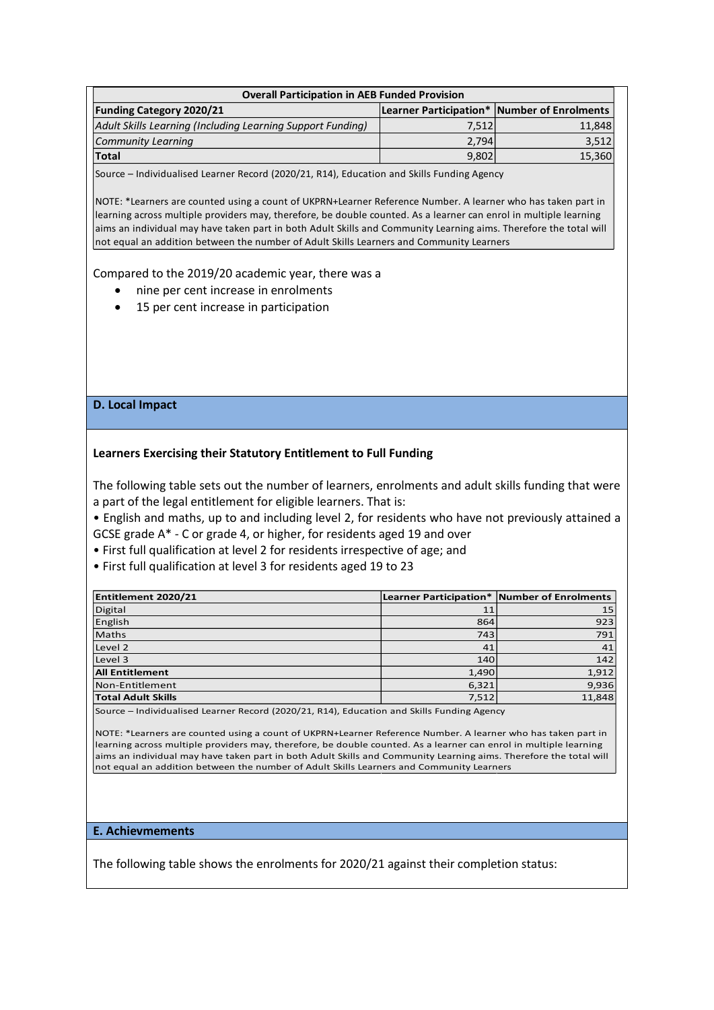| <b>Overall Participation in AEB Funded Provision</b>       |       |                                             |  |  |  |  |  |
|------------------------------------------------------------|-------|---------------------------------------------|--|--|--|--|--|
| <b>Funding Category 2020/21</b>                            |       | Learner Participation* Number of Enrolments |  |  |  |  |  |
| Adult Skills Learning (Including Learning Support Funding) | 7,512 | 11,848                                      |  |  |  |  |  |
| <b>Community Learning</b>                                  | 2.794 | 3,512                                       |  |  |  |  |  |
| <b>Total</b>                                               | 9,802 | 15,360                                      |  |  |  |  |  |
|                                                            |       |                                             |  |  |  |  |  |

Source – Individualised Learner Record (2020/21, R14), Education and Skills Funding Agency

NOTE: \*Learners are counted using a count of UKPRN+Learner Reference Number. A learner who has taken part in learning across multiple providers may, therefore, be double counted. As a learner can enrol in multiple learning aims an individual may have taken part in both Adult Skills and Community Learning aims. Therefore the total will not equal an addition between the number of Adult Skills Learners and Community Learners

Compared to the 2019/20 academic year, there was a

- nine per cent increase in enrolments
- 15 per cent increase in participation

## **D. Local Impact**

### **Learners Exercising their Statutory Entitlement to Full Funding**

The following table sets out the number of learners, enrolments and adult skills funding that were a part of the legal entitlement for eligible learners. That is:

• English and maths, up to and including level 2, for residents who have not previously attained a GCSE grade A\* - C or grade 4, or higher, for residents aged 19 and over

• First full qualification at level 2 for residents irrespective of age; and

• First full qualification at level 3 for residents aged 19 to 23

| Entitlement 2020/21       |       | Learner Participation* Number of Enrolments |  |  |
|---------------------------|-------|---------------------------------------------|--|--|
| <b>Digital</b>            | 11    | 15                                          |  |  |
| English                   | 864   | 923                                         |  |  |
| <b>Maths</b>              | 743   | 791                                         |  |  |
| Level 2                   | 41    | 41                                          |  |  |
| Level 3                   | 140   | 142                                         |  |  |
| <b>All Entitlement</b>    | 1,490 | 1,912                                       |  |  |
| Non-Entitlement           | 6,321 | 9,936                                       |  |  |
| <b>Total Adult Skills</b> | 7.512 | 11,848                                      |  |  |
|                           |       |                                             |  |  |

Source – Individualised Learner Record (2020/21, R14), Education and Skills Funding Agency

NOTE: \*Learners are counted using a count of UKPRN+Learner Reference Number. A learner who has taken part in learning across multiple providers may, therefore, be double counted. As a learner can enrol in multiple learning aims an individual may have taken part in both Adult Skills and Community Learning aims. Therefore the total will not equal an addition between the number of Adult Skills Learners and Community Learners

#### **E. Achievmements**

The following table shows the enrolments for 2020/21 against their completion status: